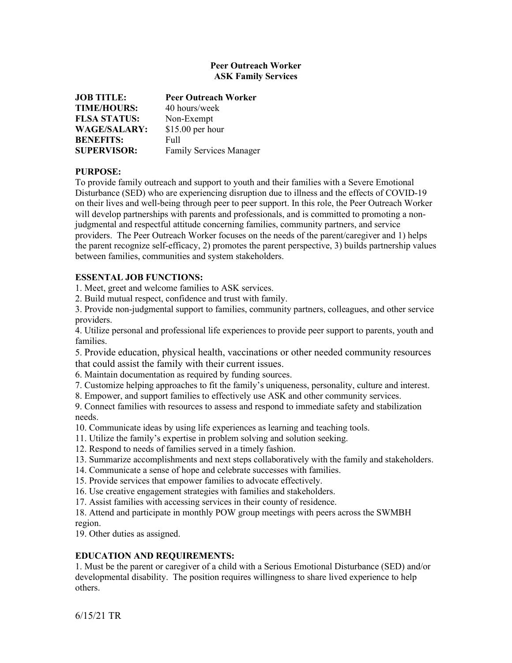## **Peer Outreach Worker ASK Family Services**

| <b>JOB TITLE:</b>   | <b>Peer Outreach Worker</b> |
|---------------------|-----------------------------|
| <b>TIME/HOURS:</b>  | 40 hours/week               |
| <b>FLSA STATUS:</b> | Non-Exempt                  |
| <b>WAGE/SALARY:</b> | \$15.00 per hour            |
| <b>BENEFITS:</b>    | Full                        |
| <b>SUPERVISOR:</b>  | Family Services Manager     |

## **PURPOSE:**

To provide family outreach and support to youth and their families with a Severe Emotional Disturbance (SED) who are experiencing disruption due to illness and the effects of COVID-19 on their lives and well-being through peer to peer support. In this role, the Peer Outreach Worker will develop partnerships with parents and professionals, and is committed to promoting a nonjudgmental and respectful attitude concerning families, community partners, and service providers. The Peer Outreach Worker focuses on the needs of the parent/caregiver and 1) helps the parent recognize self-efficacy, 2) promotes the parent perspective, 3) builds partnership values between families, communities and system stakeholders.

## **ESSENTAL JOB FUNCTIONS:**

1. Meet, greet and welcome families to ASK services.

2. Build mutual respect, confidence and trust with family.

3. Provide non-judgmental support to families, community partners, colleagues, and other service providers.

4. Utilize personal and professional life experiences to provide peer support to parents, youth and families.

5. Provide education, physical health, vaccinations or other needed community resources that could assist the family with their current issues.

6. Maintain documentation as required by funding sources.

7. Customize helping approaches to fit the family's uniqueness, personality, culture and interest.

8. Empower, and support families to effectively use ASK and other community services.

9. Connect families with resources to assess and respond to immediate safety and stabilization needs.

10. Communicate ideas by using life experiences as learning and teaching tools.

11. Utilize the family's expertise in problem solving and solution seeking.

12. Respond to needs of families served in a timely fashion.

13. Summarize accomplishments and next steps collaboratively with the family and stakeholders.

14. Communicate a sense of hope and celebrate successes with families.

15. Provide services that empower families to advocate effectively.

16. Use creative engagement strategies with families and stakeholders.

17. Assist families with accessing services in their county of residence.

18. Attend and participate in monthly POW group meetings with peers across the SWMBH region.

19. Other duties as assigned.

## **EDUCATION AND REQUIREMENTS:**

1. Must be the parent or caregiver of a child with a Serious Emotional Disturbance (SED) and/or developmental disability. The position requires willingness to share lived experience to help others.